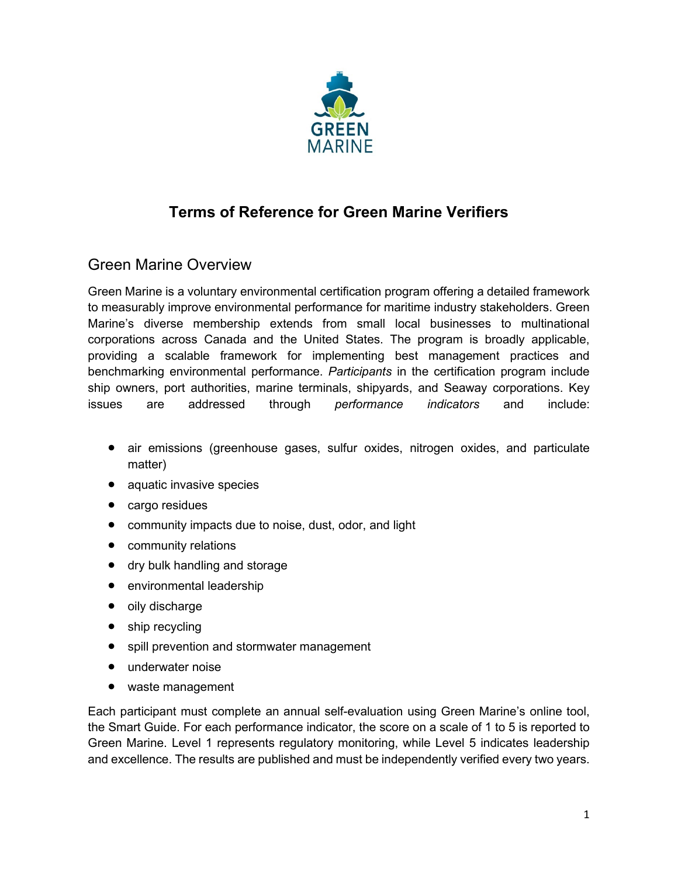

# **Terms of Reference for Green Marine Verifiers**

### Green Marine Overview

Green Marine is a voluntary environmental certification program offering a detailed framework to measurably improve environmental performance for maritime industry stakeholders. Green Marine's diverse membership extends from small local businesses to multinational corporations across Canada and the United States. The program is broadly applicable, providing a scalable framework for implementing best management practices and benchmarking environmental performance. *Participants* in the certification program include ship owners, port authorities, marine terminals, shipyards, and Seaway corporations. Key issues are addressed through *performance indicators* and include:

- air emissions (greenhouse gases, sulfur oxides, nitrogen oxides, and particulate matter)
- aquatic invasive species
- cargo residues
- community impacts due to noise, dust, odor, and light
- community relations
- dry bulk handling and storage
- environmental leadership
- oily discharge
- ship recycling
- spill prevention and stormwater management
- underwater noise
- waste management

Each participant must complete an annual self-evaluation using Green Marine's online tool, the Smart Guide. For each performance indicator, the score on a scale of 1 to 5 is reported to Green Marine. Level 1 represents regulatory monitoring, while Level 5 indicates leadership and excellence. The results are published and must be independently verified every two years.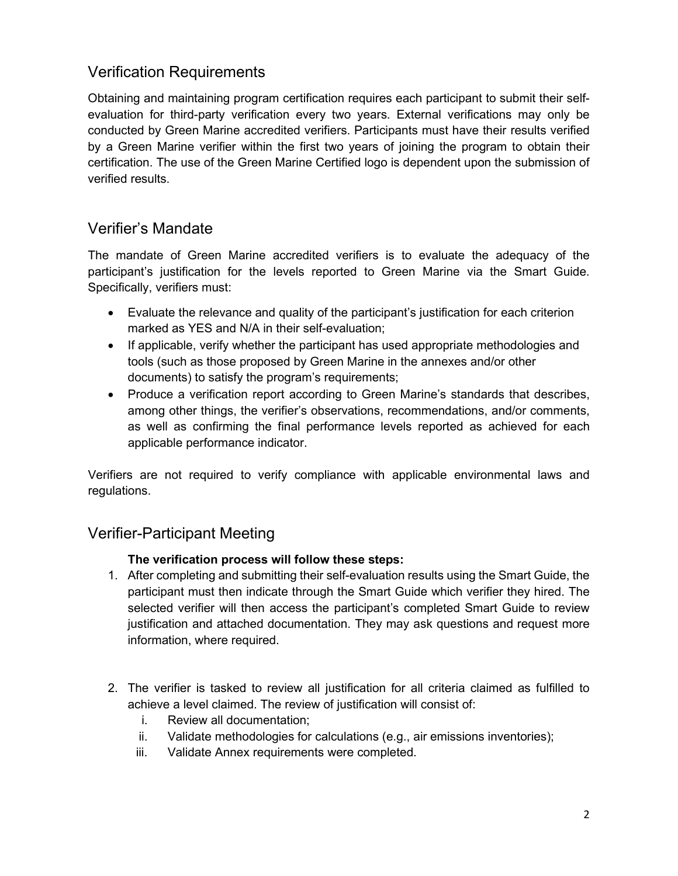# Verification Requirements

Obtaining and maintaining program certification requires each participant to submit their selfevaluation for third-party verification every two years. External verifications may only be conducted by Green Marine accredited verifiers. Participants must have their results verified by a Green Marine verifier within the first two years of joining the program to obtain their certification. The use of the Green Marine Certified logo is dependent upon the submission of verified results.

#### Verifier's Mandate

The mandate of Green Marine accredited verifiers is to evaluate the adequacy of the participant's justification for the levels reported to Green Marine via the Smart Guide. Specifically, verifiers must:

- Evaluate the relevance and quality of the participant's justification for each criterion marked as YES and N/A in their self-evaluation;
- If applicable, verify whether the participant has used appropriate methodologies and tools (such as those proposed by Green Marine in the annexes and/or other documents) to satisfy the program's requirements;
- Produce a verification report according to Green Marine's standards that describes, among other things, the verifier's observations, recommendations, and/or comments, as well as confirming the final performance levels reported as achieved for each applicable performance indicator.

Verifiers are not required to verify compliance with applicable environmental laws and regulations.

### Verifier-Participant Meeting

#### **The verification process will follow these steps:**

- 1. After completing and submitting their self-evaluation results using the Smart Guide, the participant must then indicate through the Smart Guide which verifier they hired. The selected verifier will then access the participant's completed Smart Guide to review justification and attached documentation. They may ask questions and request more information, where required.
- 2. The verifier is tasked to review all justification for all criteria claimed as fulfilled to achieve a level claimed. The review of justification will consist of:
	- i. Review all documentation;
	- ii. Validate methodologies for calculations (e.g., air emissions inventories);
	- iii. Validate Annex requirements were completed.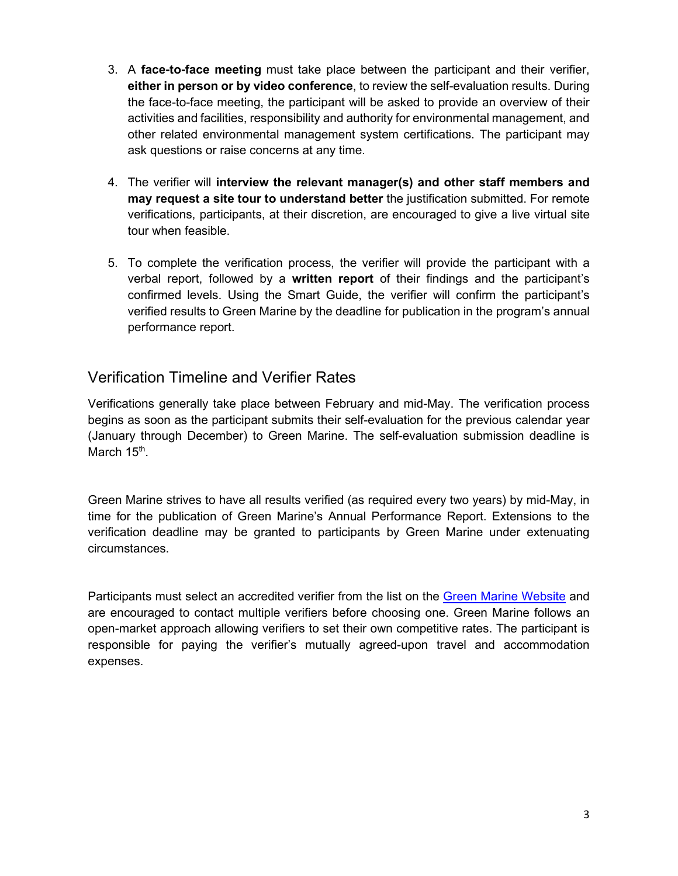- 3. A **face-to-face meeting** must take place between the participant and their verifier, **either in person or by video conference**, to review the self-evaluation results. During the face-to-face meeting, the participant will be asked to provide an overview of their activities and facilities, responsibility and authority for environmental management, and other related environmental management system certifications. The participant may ask questions or raise concerns at any time.
- 4. The verifier will **interview the relevant manager(s) and other staff members and may request a site tour to understand better** the justification submitted. For remote verifications, participants, at their discretion, are encouraged to give a live virtual site tour when feasible.
- 5. To complete the verification process, the verifier will provide the participant with a verbal report, followed by a **written report** of their findings and the participant's confirmed levels. Using the Smart Guide, the verifier will confirm the participant's verified results to Green Marine by the deadline for publication in the program's annual performance report.

### Verification Timeline and Verifier Rates

Verifications generally take place between February and mid-May. The verification process begins as soon as the participant submits their self-evaluation for the previous calendar year (January through December) to Green Marine. The self-evaluation submission deadline is March 15<sup>th</sup>.

Green Marine strives to have all results verified (as required every two years) by mid-May, in time for the publication of Green Marine's Annual Performance Report. Extensions to the verification deadline may be granted to participants by Green Marine under extenuating circumstances.

Participants must select an accredited verifier from the list on the [Green Marine Website](http://www.green-marine.org/certification/verifiers/) and are encouraged to contact multiple verifiers before choosing one. Green Marine follows an open-market approach allowing verifiers to set their own competitive rates. The participant is responsible for paying the verifier's mutually agreed-upon travel and accommodation expenses.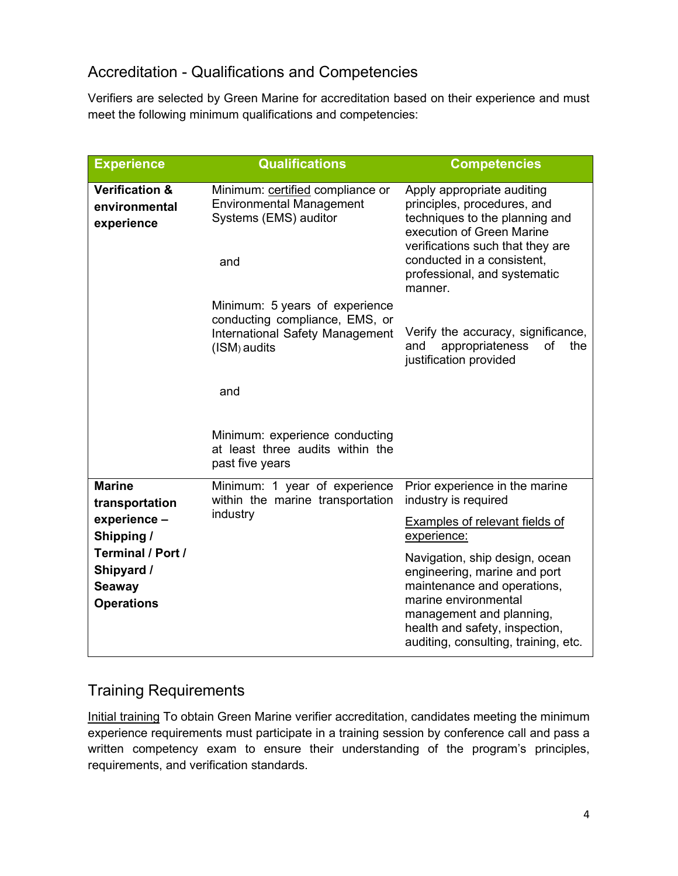# Accreditation - Qualifications and Competencies

Verifiers are selected by Green Marine for accreditation based on their experience and must meet the following minimum qualifications and competencies:

| <b>Experience</b>                                                                                                                             | <b>Qualifications</b>                                                                                               | <b>Competencies</b>                                                                                                                                                                                                                   |
|-----------------------------------------------------------------------------------------------------------------------------------------------|---------------------------------------------------------------------------------------------------------------------|---------------------------------------------------------------------------------------------------------------------------------------------------------------------------------------------------------------------------------------|
| <b>Verification &amp;</b><br>environmental<br>experience                                                                                      | Minimum: certified compliance or<br><b>Environmental Management</b><br>Systems (EMS) auditor<br>and                 | Apply appropriate auditing<br>principles, procedures, and<br>techniques to the planning and<br>execution of Green Marine<br>verifications such that they are<br>conducted in a consistent.<br>professional, and systematic<br>manner. |
|                                                                                                                                               | Minimum: 5 years of experience<br>conducting compliance, EMS, or<br>International Safety Management<br>(ISM) audits | Verify the accuracy, significance,<br>appropriateness<br>and<br>of<br>the<br>justification provided                                                                                                                                   |
|                                                                                                                                               | and                                                                                                                 |                                                                                                                                                                                                                                       |
|                                                                                                                                               | Minimum: experience conducting<br>at least three audits within the<br>past five years                               |                                                                                                                                                                                                                                       |
| <b>Marine</b><br>transportation<br>experience -<br>Shipping /<br><b>Terminal / Port /</b><br>Shipyard /<br><b>Seaway</b><br><b>Operations</b> | Minimum: 1 year of experience<br>within the marine transportation<br>industry                                       | Prior experience in the marine<br>industry is required                                                                                                                                                                                |
|                                                                                                                                               |                                                                                                                     | <b>Examples of relevant fields of</b><br>experience:                                                                                                                                                                                  |
|                                                                                                                                               |                                                                                                                     | Navigation, ship design, ocean<br>engineering, marine and port<br>maintenance and operations,<br>marine environmental<br>management and planning,<br>health and safety, inspection,<br>auditing, consulting, training, etc.           |

### Training Requirements

Initial training To obtain Green Marine verifier accreditation, candidates meeting the minimum experience requirements must participate in a training session by conference call and pass a written competency exam to ensure their understanding of the program's principles, requirements, and verification standards.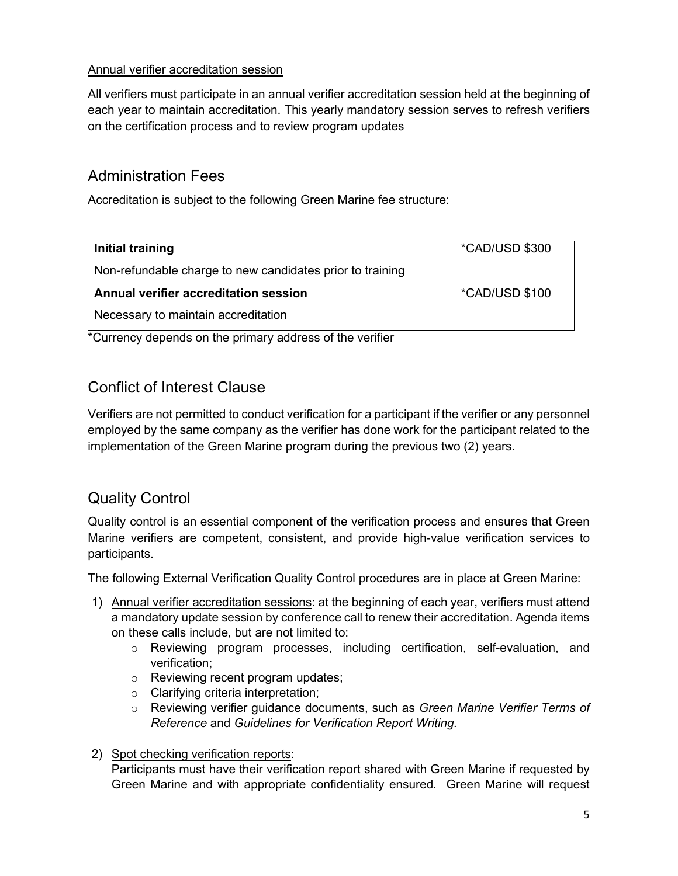#### Annual verifier accreditation session

All verifiers must participate in an annual verifier accreditation session held at the beginning of each year to maintain accreditation. This yearly mandatory session serves to refresh verifiers on the certification process and to review program updates

# Administration Fees

Accreditation is subject to the following Green Marine fee structure:

| Initial training                                          | <i>*CAD/USD \$300</i> |
|-----------------------------------------------------------|-----------------------|
| Non-refundable charge to new candidates prior to training |                       |
| Annual verifier accreditation session                     | *CAD/USD \$100        |
| Necessary to maintain accreditation                       |                       |

\*Currency depends on the primary address of the verifier

# Conflict of Interest Clause

Verifiers are not permitted to conduct verification for a participant if the verifier or any personnel employed by the same company as the verifier has done work for the participant related to the implementation of the Green Marine program during the previous two (2) years.

# Quality Control

Quality control is an essential component of the verification process and ensures that Green Marine verifiers are competent, consistent, and provide high-value verification services to participants.

The following External Verification Quality Control procedures are in place at Green Marine:

- 1) Annual verifier accreditation sessions: at the beginning of each year, verifiers must attend a mandatory update session by conference call to renew their accreditation. Agenda items on these calls include, but are not limited to:
	- o Reviewing program processes, including certification, self-evaluation, and verification;
	- o Reviewing recent program updates;
	- o Clarifying criteria interpretation;
	- o Reviewing verifier guidance documents, such as *Green Marine Verifier Terms of Reference* and *Guidelines for Verification Report Writing.*

#### 2) Spot checking verification reports:

Participants must have their verification report shared with Green Marine if requested by Green Marine and with appropriate confidentiality ensured. Green Marine will request